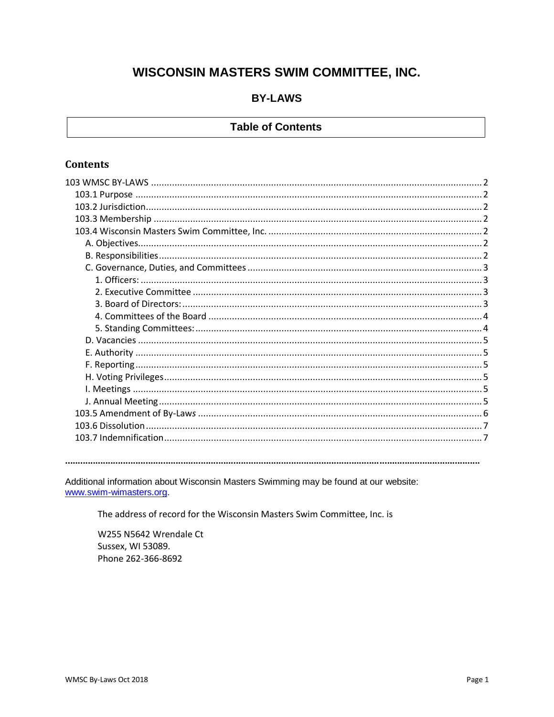# WISCONSIN MASTERS SWIM COMMITTEE, INC.

# **BY-LAWS**

# **Table of Contents**

# **Contents**

Additional information about Wisconsin Masters Swimming may be found at our website: www.swim-wimasters.org

The address of record for the Wisconsin Masters Swim Committee, Inc. is

W255 N5642 Wrendale Ct Sussex, WI 53089. Phone 262-366-8692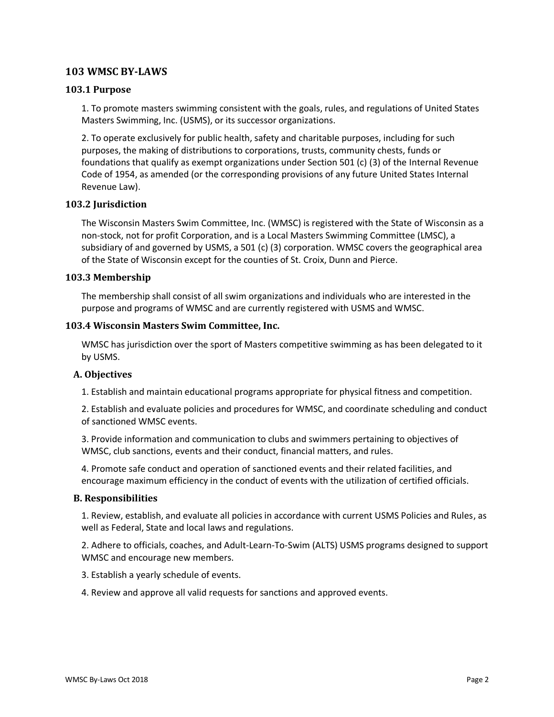# <span id="page-1-0"></span>**103 WMSC BY-LAWS**

# <span id="page-1-1"></span>**103.1 Purpose**

1. To promote masters swimming consistent with the goals, rules, and regulations of United States Masters Swimming, Inc. (USMS), or its successor organizations.

2. To operate exclusively for public health, safety and charitable purposes, including for such purposes, the making of distributions to corporations, trusts, community chests, funds or foundations that qualify as exempt organizations under Section 501 (c) (3) of the Internal Revenue Code of 1954, as amended (or the corresponding provisions of any future United States Internal Revenue Law).

# <span id="page-1-2"></span>**103.2 Jurisdiction**

The Wisconsin Masters Swim Committee, Inc. (WMSC) is registered with the State of Wisconsin as a non-stock, not for profit Corporation, and is a Local Masters Swimming Committee (LMSC), a subsidiary of and governed by USMS, a 501 (c) (3) corporation. WMSC covers the geographical area of the State of Wisconsin except for the counties of St. Croix, Dunn and Pierce.

# <span id="page-1-3"></span>**103.3 Membership**

The membership shall consist of all swim organizations and individuals who are interested in the purpose and programs of WMSC and are currently registered with USMS and WMSC.

#### <span id="page-1-4"></span>**103.4 Wisconsin Masters Swim Committee, Inc.**

WMSC has jurisdiction over the sport of Masters competitive swimming as has been delegated to it by USMS.

# <span id="page-1-5"></span>**A. Objectives**

1. Establish and maintain educational programs appropriate for physical fitness and competition.

2. Establish and evaluate policies and procedures for WMSC, and coordinate scheduling and conduct of sanctioned WMSC events.

3. Provide information and communication to clubs and swimmers pertaining to objectives of WMSC, club sanctions, events and their conduct, financial matters, and rules.

4. Promote safe conduct and operation of sanctioned events and their related facilities, and encourage maximum efficiency in the conduct of events with the utilization of certified officials.

#### <span id="page-1-6"></span>**B. Responsibilities**

1. Review, establish, and evaluate all policies in accordance with current USMS Policies and Rules, as well as Federal, State and local laws and regulations.

2. Adhere to officials, coaches, and Adult-Learn-To-Swim (ALTS) USMS programs designed to support WMSC and encourage new members.

3. Establish a yearly schedule of events.

4. Review and approve all valid requests for sanctions and approved events.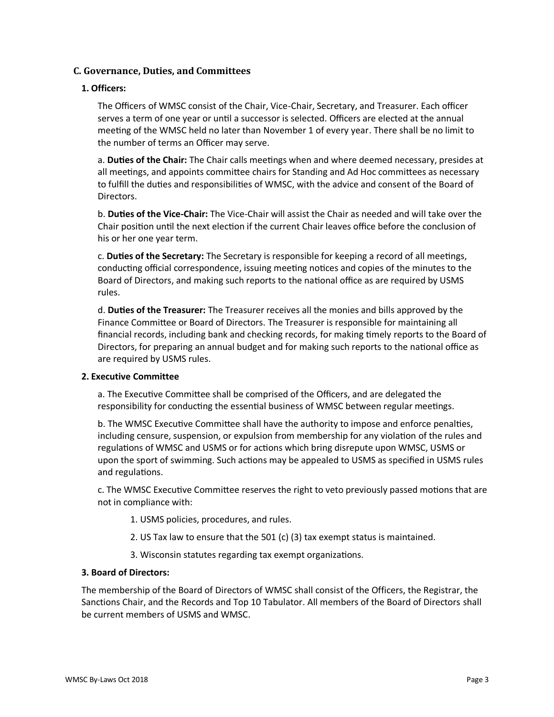# <span id="page-2-0"></span>**C. Governance, Duties, and Committees**

# <span id="page-2-1"></span>**1. Officers:**

The Officers of WMSC consist of the Chair, Vice-Chair, Secretary, and Treasurer. Each officer serves a term of one year or until a successor is selected. Officers are elected at the annual meeting of the WMSC held no later than November 1 of every year. There shall be no limit to the number of terms an Officer may serve.

a. **Duties of the Chair:** The Chair calls meetings when and where deemed necessary, presides at all meetings, and appoints committee chairs for Standing and Ad Hoc committees as necessary to fulfill the duties and responsibilities of WMSC, with the advice and consent of the Board of Directors.

b. **Duties of the Vice-Chair:** The Vice-Chair will assist the Chair as needed and will take over the Chair position until the next election if the current Chair leaves office before the conclusion of his or her one year term.

c. **Duties of the Secretary:** The Secretary is responsible for keeping a record of all meetings, conducting official correspondence, issuing meeting notices and copies of the minutes to the Board of Directors, and making such reports to the national office as are required by USMS rules.

d. **Duties of the Treasurer:** The Treasurer receives all the monies and bills approved by the Finance Committee or Board of Directors. The Treasurer is responsible for maintaining all financial records, including bank and checking records, for making timely reports to the Board of Directors, for preparing an annual budget and for making such reports to the national office as are required by USMS rules.

#### <span id="page-2-2"></span>**2. Executive Committee**

a. The Executive Committee shall be comprised of the Officers, and are delegated the responsibility for conducting the essential business of WMSC between regular meetings.

b. The WMSC Executive Committee shall have the authority to impose and enforce penalties, including censure, suspension, or expulsion from membership for any violation of the rules and regulations of WMSC and USMS or for actions which bring disrepute upon WMSC, USMS or upon the sport of swimming. Such actions may be appealed to USMS as specified in USMS rules and regulations.

c. The WMSC Executive Committee reserves the right to veto previously passed motions that are not in compliance with:

- 1. USMS policies, procedures, and rules.
- 2. US Tax law to ensure that the 501 (c) (3) tax exempt status is maintained.
- 3. Wisconsin statutes regarding tax exempt organizations.

#### <span id="page-2-3"></span>**3. Board of Directors:**

The membership of the Board of Directors of WMSC shall consist of the Officers, the Registrar, the Sanctions Chair, and the Records and Top 10 Tabulator. All members of the Board of Directors shall be current members of USMS and WMSC.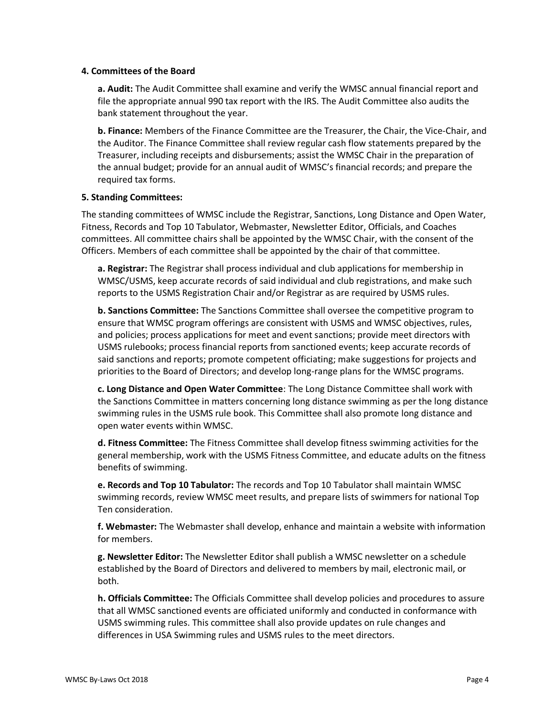#### <span id="page-3-0"></span>**4. Committees of the Board**

**a. Audit:** The Audit Committee shall examine and verify the WMSC annual financial report and file the appropriate annual 990 tax report with the IRS. The Audit Committee also audits the bank statement throughout the year.

**b. Finance:** Members of the Finance Committee are the Treasurer, the Chair, the Vice-Chair, and the Auditor. The Finance Committee shall review regular cash flow statements prepared by the Treasurer, including receipts and disbursements; assist the WMSC Chair in the preparation of the annual budget; provide for an annual audit of WMSC's financial records; and prepare the required tax forms.

# <span id="page-3-1"></span>**5. Standing Committees:**

The standing committees of WMSC include the Registrar, Sanctions, Long Distance and Open Water, Fitness, Records and Top 10 Tabulator, Webmaster, Newsletter Editor, Officials, and Coaches committees. All committee chairs shall be appointed by the WMSC Chair, with the consent of the Officers. Members of each committee shall be appointed by the chair of that committee.

**a. Registrar:** The Registrar shall process individual and club applications for membership in WMSC/USMS, keep accurate records of said individual and club registrations, and make such reports to the USMS Registration Chair and/or Registrar as are required by USMS rules.

**b. Sanctions Committee:** The Sanctions Committee shall oversee the competitive program to ensure that WMSC program offerings are consistent with USMS and WMSC objectives, rules, and policies; process applications for meet and event sanctions; provide meet directors with USMS rulebooks; process financial reports from sanctioned events; keep accurate records of said sanctions and reports; promote competent officiating; make suggestions for projects and priorities to the Board of Directors; and develop long-range plans for the WMSC programs.

**c. Long Distance and Open Water Committee**: The Long Distance Committee shall work with the Sanctions Committee in matters concerning long distance swimming as per the long distance swimming rules in the USMS rule book. This Committee shall also promote long distance and open water events within WMSC.

**d. Fitness Committee:** The Fitness Committee shall develop fitness swimming activities for the general membership, work with the USMS Fitness Committee, and educate adults on the fitness benefits of swimming.

**e. Records and Top 10 Tabulator:** The records and Top 10 Tabulator shall maintain WMSC swimming records, review WMSC meet results, and prepare lists of swimmers for national Top Ten consideration.

**f. Webmaster:** The Webmaster shall develop, enhance and maintain a website with information for members.

**g. Newsletter Editor:** The Newsletter Editor shall publish a WMSC newsletter on a schedule established by the Board of Directors and delivered to members by mail, electronic mail, or both.

**h. Officials Committee:** The Officials Committee shall develop policies and procedures to assure that all WMSC sanctioned events are officiated uniformly and conducted in conformance with USMS swimming rules. This committee shall also provide updates on rule changes and differences in USA Swimming rules and USMS rules to the meet directors.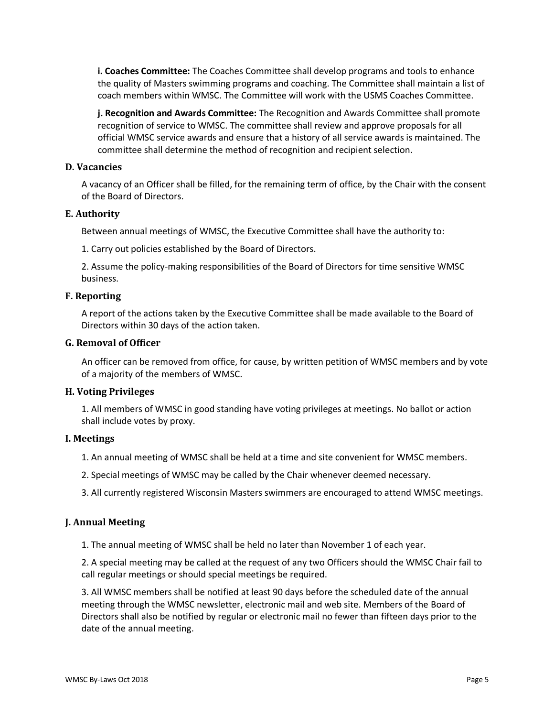**i. Coaches Committee:** The Coaches Committee shall develop programs and tools to enhance the quality of Masters swimming programs and coaching. The Committee shall maintain a list of coach members within WMSC. The Committee will work with the USMS Coaches Committee.

**j. Recognition and Awards Committee:** The Recognition and Awards Committee shall promote recognition of service to WMSC. The committee shall review and approve proposals for all official WMSC service awards and ensure that a history of all service awards is maintained. The committee shall determine the method of recognition and recipient selection.

# <span id="page-4-0"></span>**D. Vacancies**

A vacancy of an Officer shall be filled, for the remaining term of office, by the Chair with the consent of the Board of Directors.

# <span id="page-4-1"></span>**E. Authority**

Between annual meetings of WMSC, the Executive Committee shall have the authority to:

1. Carry out policies established by the Board of Directors.

2. Assume the policy-making responsibilities of the Board of Directors for time sensitive WMSC business.

# <span id="page-4-2"></span>**F. Reporting**

A report of the actions taken by the Executive Committee shall be made available to the Board of Directors within 30 days of the action taken.

# **G. Removal of Officer**

An officer can be removed from office, for cause, by written petition of WMSC members and by vote of a majority of the members of WMSC.

# <span id="page-4-3"></span>**H. Voting Privileges**

1. All members of WMSC in good standing have voting privileges at meetings. No ballot or action shall include votes by proxy.

#### <span id="page-4-4"></span>**I. Meetings**

1. An annual meeting of WMSC shall be held at a time and site convenient for WMSC members.

2. Special meetings of WMSC may be called by the Chair whenever deemed necessary.

3. All currently registered Wisconsin Masters swimmers are encouraged to attend WMSC meetings.

# <span id="page-4-5"></span>**J. Annual Meeting**

1. The annual meeting of WMSC shall be held no later than November 1 of each year.

2. A special meeting may be called at the request of any two Officers should the WMSC Chair fail to call regular meetings or should special meetings be required.

3. All WMSC members shall be notified at least 90 days before the scheduled date of the annual meeting through the WMSC newsletter, electronic mail and web site. Members of the Board of Directors shall also be notified by regular or electronic mail no fewer than fifteen days prior to the date of the annual meeting.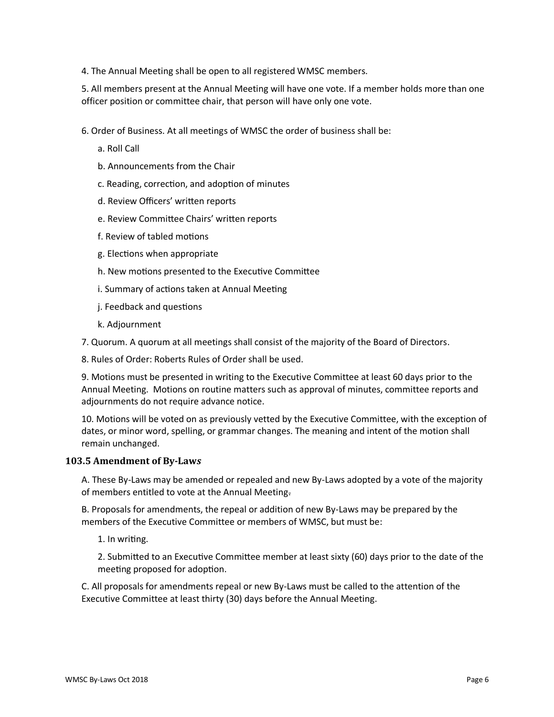4. The Annual Meeting shall be open to all registered WMSC members.

5. All members present at the Annual Meeting will have one vote. If a member holds more than one officer position or committee chair, that person will have only one vote.

- 6. Order of Business. At all meetings of WMSC the order of business shall be:
	- a. Roll Call
	- b. Announcements from the Chair
	- c. Reading, correction, and adoption of minutes
	- d. Review Officers' written reports
	- e. Review Committee Chairs' written reports
	- f. Review of tabled motions
	- g. Elections when appropriate
	- h. New motions presented to the Executive Committee
	- i. Summary of actions taken at Annual Meeting
	- j. Feedback and questions
	- k. Adjournment

7. Quorum. A quorum at all meetings shall consist of the majority of the Board of Directors.

8. Rules of Order: Roberts Rules of Order shall be used.

9. Motions must be presented in writing to the Executive Committee at least 60 days prior to the Annual Meeting. Motions on routine matters such as approval of minutes, committee reports and adjournments do not require advance notice.

10. Motions will be voted on as previously vetted by the Executive Committee, with the exception of dates, or minor word, spelling, or grammar changes. The meaning and intent of the motion shall remain unchanged.

#### <span id="page-5-0"></span>**103.5 Amendment of By-Law***s*

A. These By-Laws may be amended or repealed and new By-Laws adopted by a vote of the majority of members entitled to vote at the Annual Meeting.

B. Proposals for amendments, the repeal or addition of new By-Laws may be prepared by the members of the Executive Committee or members of WMSC, but must be:

1. In writing.

2. Submitted to an Executive Committee member at least sixty (60) days prior to the date of the meeting proposed for adoption.

C. All proposals for amendments repeal or new By-Laws must be called to the attention of the Executive Committee at least thirty (30) days before the Annual Meeting.